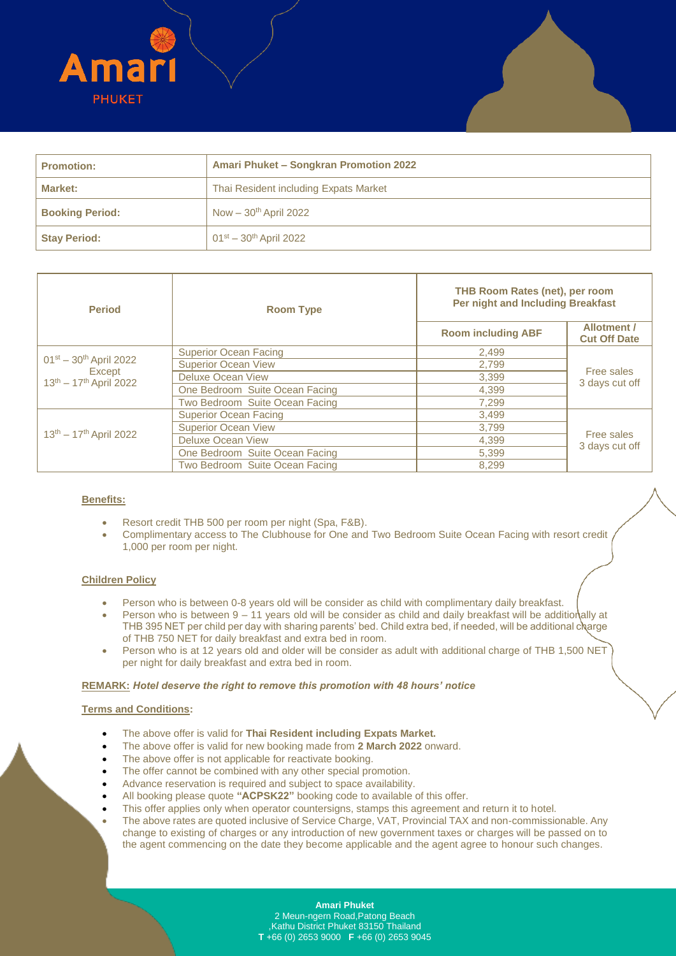

| <b>Promotion:</b>      | <b>Amari Phuket - Songkran Promotion 2022</b> |  |
|------------------------|-----------------------------------------------|--|
| <b>Market:</b>         | Thai Resident including Expats Market         |  |
| <b>Booking Period:</b> | Now $-30$ <sup>th</sup> April 2022            |  |
| <b>Stay Period:</b>    | $01st - 30th$ April 2022                      |  |

| <b>Period</b>                                                              | <b>Room Type</b>               | THB Room Rates (net), per room<br>Per night and Including Breakfast |                                           |
|----------------------------------------------------------------------------|--------------------------------|---------------------------------------------------------------------|-------------------------------------------|
|                                                                            |                                | <b>Room including ABF</b>                                           | <b>Allotment /</b><br><b>Cut Off Date</b> |
| $01^{st} - 30^{th}$ April 2022<br>Except<br>$13^{th} - 17^{th}$ April 2022 | <b>Superior Ocean Facing</b>   | 2,499                                                               | Free sales<br>3 days cut off              |
|                                                                            | <b>Superior Ocean View</b>     | 2,799                                                               |                                           |
|                                                                            | <b>Deluxe Ocean View</b>       | 3,399                                                               |                                           |
|                                                                            | One Bedroom Suite Ocean Facing | 4,399                                                               |                                           |
|                                                                            | Two Bedroom Suite Ocean Facing | 7,299                                                               |                                           |
| $13^{th} - 17^{th}$ April 2022                                             | <b>Superior Ocean Facing</b>   | 3,499                                                               | Free sales<br>3 days cut off              |
|                                                                            | <b>Superior Ocean View</b>     | 3,799                                                               |                                           |
|                                                                            | <b>Deluxe Ocean View</b>       | 4,399                                                               |                                           |
|                                                                            | One Bedroom Suite Ocean Facing | 5,399                                                               |                                           |
|                                                                            | Two Bedroom Suite Ocean Facing | 8.299                                                               |                                           |

# **Benefits:**

- Resort credit THB 500 per room per night (Spa, F&B).
- Complimentary access to The Clubhouse for One and Two Bedroom Suite Ocean Facing with resort credit 1,000 per room per night.

## **Children Policy**

- Person who is between 0-8 years old will be consider as child with complimentary daily breakfast.
- Person who is between  $9 11$  years old will be consider as child and daily breakfast will be additionally at THB 395 NET per child per day with sharing parents' bed. Child extra bed, if needed, will be additional charge of THB 750 NET for daily breakfast and extra bed in room.
- Person who is at 12 years old and older will be consider as adult with additional charge of THB 1,500 NET per night for daily breakfast and extra bed in room.

## **REMARK:** *Hotel deserve the right to remove this promotion with 48 hours' notice*

## **Terms and Conditions:**

- The above offer is valid for **Thai Resident including Expats Market.**
- The above offer is valid for new booking made from **2 March 2022** onward.
- The above offer is not applicable for reactivate booking.
- The offer cannot be combined with any other special promotion.
- Advance reservation is required and subject to space availability.
- All booking please quote **"ACPSK22"** booking code to available of this offer.
- This offer applies only when operator countersigns, stamps this agreement and return it to hotel.
- The above rates are quoted inclusive of Service Charge, VAT, Provincial TAX and non-commissionable. Any change to existing of charges or any introduction of new government taxes or charges will be passed on to the agent commencing on the date they become applicable and the agent agree to honour such changes.

**Amari Phuket** 2 Meun-ngern Road,Patong Beach ,Kathu District Phuket 83150 Thailand **T** +66 (0) 2653 9000 **F** +66 (0) 2653 9045